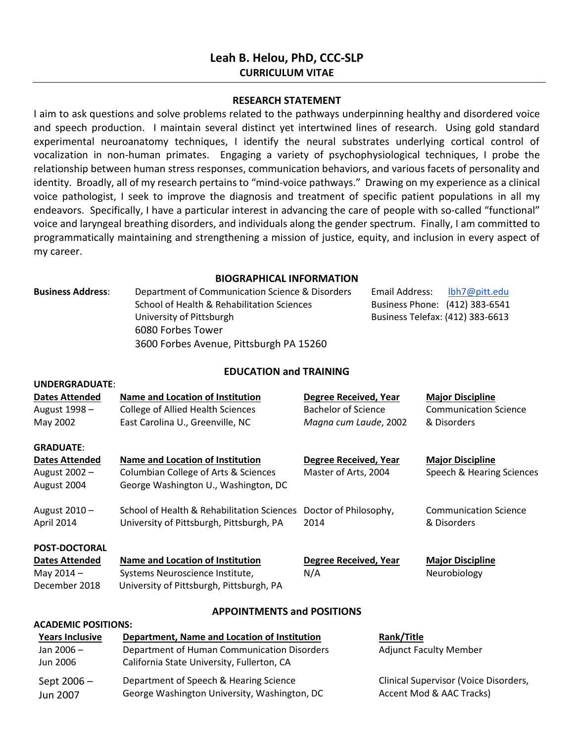# **Leah B. Helou, PhD, CCC-SLP CURRICULUM VITAE**

#### **RESEARCH STATEMENT**

I aim to ask questions and solve problems related to the pathways underpinning healthy and disordered voice and speech production. I maintain several distinct yet intertwined lines of research. Using gold standard experimental neuroanatomy techniques, I identify the neural substrates underlying cortical control of vocalization in non-human primates. Engaging a variety of psychophysiological techniques, I probe the relationship between human stress responses, communication behaviors, and various facets of personality and identity. Broadly, all of my research pertains to "mind-voice pathways." Drawing on my experience as a clinical voice pathologist, I seek to improve the diagnosis and treatment of specific patient populations in all my endeavors. Specifically, I have a particular interest in advancing the care of people with so-called "functional" voice and laryngeal breathing disorders, and individuals along the gender spectrum. Finally, I am committed to programmatically maintaining and strengthening a mission of justice, equity, and inclusion in every aspect of my career.

### **BIOGRAPHICAL INFORMATION**

| <b>Business Address:</b> | Department of Communication Science & Disorders | Email Address:<br>lbh7@pitt.edu  |
|--------------------------|-------------------------------------------------|----------------------------------|
|                          | School of Health & Rehabilitation Sciences      | Business Phone: (412) 383-6541   |
|                          | University of Pittsburgh                        | Business Telefax: (412) 383-6613 |
|                          | 6080 Forbes Tower                               |                                  |
|                          | 3600 Forbes Avenue, Pittsburgh PA 15260         |                                  |

### **EDUCATION and TRAINING**

| <b>Dates Attended</b><br>August 1998-<br>May 2002                             | <b>Name and Location of Institution</b><br><b>College of Allied Health Sciences</b><br>East Carolina U., Greenville, NC                   | <b>Degree Received, Year</b><br><b>Bachelor of Science</b><br>Magna cum Laude, 2002 |            | <b>Major Discipline</b><br><b>Communication Science</b><br>& Disorders |
|-------------------------------------------------------------------------------|-------------------------------------------------------------------------------------------------------------------------------------------|-------------------------------------------------------------------------------------|------------|------------------------------------------------------------------------|
| <b>GRADUATE:</b><br><b>Dates Attended</b><br>August 2002 -<br>August 2004     | <b>Name and Location of Institution</b><br>Columbian College of Arts & Sciences<br>George Washington U., Washington, DC                   | <b>Degree Received, Year</b><br>Master of Arts, 2004                                |            | <b>Major Discipline</b><br>Speech & Hearing Sciences                   |
| August 2010-<br>April 2014                                                    | School of Health & Rehabilitation Sciences<br>University of Pittsburgh, Pittsburgh, PA                                                    | Doctor of Philosophy,<br>2014                                                       |            | <b>Communication Science</b><br>& Disorders                            |
| POST-DOCTORAL<br><b>Dates Attended</b><br>May 2014 -<br>December 2018         | <b>Name and Location of Institution</b><br>Systems Neuroscience Institute,<br>University of Pittsburgh, Pittsburgh, PA                    | <b>Degree Received, Year</b><br>N/A                                                 |            | <b>Major Discipline</b><br>Neurobiology                                |
|                                                                               | <b>APPOINTMENTS and POSITIONS</b>                                                                                                         |                                                                                     |            |                                                                        |
| <b>ACADEMIC POSITIONS:</b><br><b>Years Inclusive</b><br>Jan 2006-<br>Jun 2006 | Department, Name and Location of Institution<br>Department of Human Communication Disorders<br>California State University, Fullerton, CA |                                                                                     | Rank/Title | <b>Adjunct Faculty Member</b>                                          |
| $C_{\text{max}}$ and $C_{\text{max}}$                                         | Department of Coocch R. Hoaring Crience                                                                                                   |                                                                                     |            | Clinical Cunomicar Waise Diserders                                     |

Sept 2006 – Jun 2007 Department of Speech & Hearing Science George Washington University, Washington, DC

**UNDERGRADUATE**:

Clinical Supervisor (Voice Disorders, Accent Mod & AAC Tracks)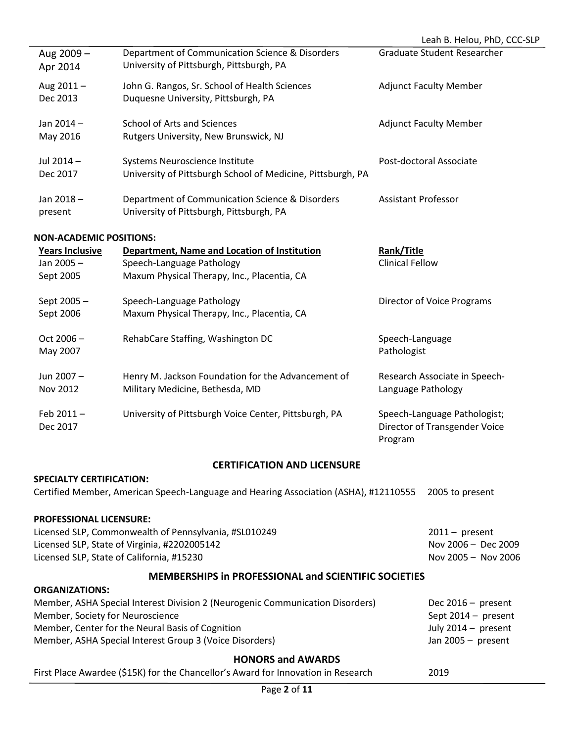| Aug 2009 -<br>Apr 2014                           | Department of Communication Science & Disorders<br>University of Pittsburgh, Pittsburgh, PA                              | <b>Graduate Student Researcher</b>   |
|--------------------------------------------------|--------------------------------------------------------------------------------------------------------------------------|--------------------------------------|
| Aug $2011 -$<br>Dec 2013                         | John G. Rangos, Sr. School of Health Sciences<br>Duquesne University, Pittsburgh, PA                                     | <b>Adjunct Faculty Member</b>        |
| Jan 2014 -<br>May 2016                           | School of Arts and Sciences<br>Rutgers University, New Brunswick, NJ                                                     | <b>Adjunct Faculty Member</b>        |
| Jul 2014 -<br>Dec 2017                           | Systems Neuroscience Institute<br>University of Pittsburgh School of Medicine, Pittsburgh, PA                            | Post-doctoral Associate              |
| Jan 2018-<br>present                             | Department of Communication Science & Disorders<br>University of Pittsburgh, Pittsburgh, PA                              | <b>Assistant Professor</b>           |
| <b>NON-ACADEMIC POSITIONS:</b>                   |                                                                                                                          |                                      |
| <b>Years Inclusive</b><br>Jan 2005-<br>Sept 2005 | Department, Name and Location of Institution<br>Speech-Language Pathology<br>Maxum Physical Therapy, Inc., Placentia, CA | Rank/Title<br><b>Clinical Fellow</b> |

| Sept 2005 -<br>Sept 2006 | Speech-Language Pathology<br>Maxum Physical Therapy, Inc., Placentia, CA              | Director of Voice Programs                                               |
|--------------------------|---------------------------------------------------------------------------------------|--------------------------------------------------------------------------|
| $Oct 2006 -$<br>May 2007 | RehabCare Staffing, Washington DC                                                     | Speech-Language<br>Pathologist                                           |
| Jun 2007 -<br>Nov 2012   | Henry M. Jackson Foundation for the Advancement of<br>Military Medicine, Bethesda, MD | Research Associate in Speech-<br>Language Pathology                      |
| Feb $2011 -$<br>Dec 2017 | University of Pittsburgh Voice Center, Pittsburgh, PA                                 | Speech-Language Pathologist;<br>Director of Transgender Voice<br>Program |

# **CERTIFICATION AND LICENSURE**

# **SPECIALTY CERTIFICATION:**

Certified Member, American Speech-Language and Hearing Association (ASHA), #12110555 2005 to present

# **PROFESSIONAL LICENSURE:**

| Licensed SLP, Commonwealth of Pennsylvania, #SL010249 | $2011 -$ present    |
|-------------------------------------------------------|---------------------|
| Licensed SLP, State of Virginia, #2202005142          | Nov 2006 - Dec 2009 |
| Licensed SLP, State of California, #15230             | Nov 2005 - Nov 2006 |

# **MEMBERSHIPS in PROFESSIONAL and SCIENTIFIC SOCIETIES**

# **ORGANIZATIONS:**

| Member, ASHA Special Interest Division 2 (Neurogenic Communication Disorders) | Dec $2016 -$ present |
|-------------------------------------------------------------------------------|----------------------|
| Member, Society for Neuroscience                                              | Sept 2014 – present  |
| Member, Center for the Neural Basis of Cognition                              | July 2014 – present  |
| Member, ASHA Special Interest Group 3 (Voice Disorders)                       | Jan 2005 - present   |

# **HONORS and AWARDS**

First Place Awardee (\$15K) for the Chancellor's Award for Innovation in Research 2019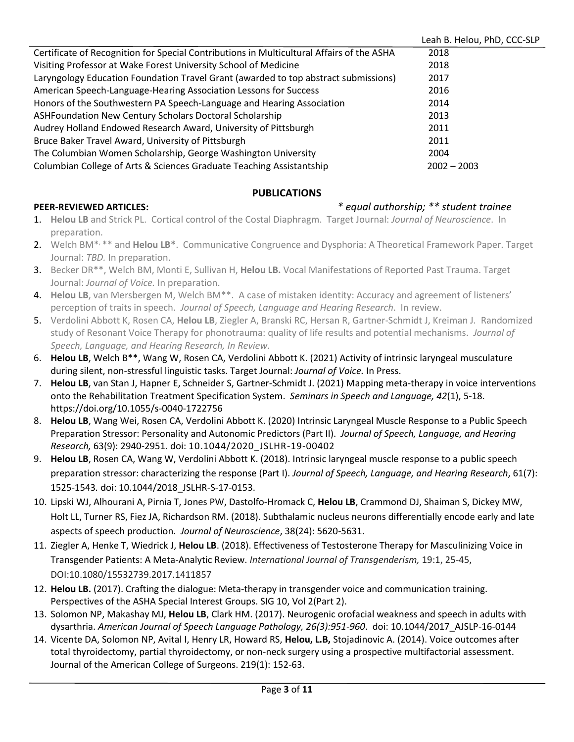|                                                                                           | Leah B. Helou, PhD, CCC-SLP |
|-------------------------------------------------------------------------------------------|-----------------------------|
| Certificate of Recognition for Special Contributions in Multicultural Affairs of the ASHA | 2018                        |
| Visiting Professor at Wake Forest University School of Medicine                           | 2018                        |
| Laryngology Education Foundation Travel Grant (awarded to top abstract submissions)       | 2017                        |
| American Speech-Language-Hearing Association Lessons for Success                          | 2016                        |
| Honors of the Southwestern PA Speech-Language and Hearing Association                     | 2014                        |
| ASHFoundation New Century Scholars Doctoral Scholarship                                   | 2013                        |
| Audrey Holland Endowed Research Award, University of Pittsburgh                           | 2011                        |
| Bruce Baker Travel Award, University of Pittsburgh                                        | 2011                        |
| The Columbian Women Scholarship, George Washington University                             | 2004                        |
| Columbian College of Arts & Sciences Graduate Teaching Assistantship                      | $2002 - 2003$               |

# **PUBLICATIONS**

# **PEER-REVIEWED ARTICLES:** *\* equal authorship; \*\* student trainee*

- 1. **Helou LB** and Strick PL. Cortical control of the Costal Diaphragm. Target Journal: *Journal of Neuroscience*. In preparation.
- 2. Welch BM\*, \*\* and **Helou LB\***. Communicative Congruence and Dysphoria: A Theoretical Framework Paper. Target Journal: *TBD.* In preparation.
- 3. Becker DR\*\*, Welch BM, Monti E, Sullivan H, **Helou LB.** Vocal Manifestations of Reported Past Trauma. Target Journal: *Journal of Voice.* In preparation.
- 4. **Helou LB**, van Mersbergen M, Welch BM\*\*. A case of mistaken identity: Accuracy and agreement of listeners' perception of traits in speech. *Journal of Speech, Language and Hearing Research*. In review.
- 5. Verdolini Abbott K, Rosen CA, **Helou LB**, Ziegler A, Branski RC, Hersan R, Gartner-Schmidt J, Kreiman J*.* Randomized study of Resonant Voice Therapy for phonotrauma: quality of life results and potential mechanisms. *Journal of Speech, Language, and Hearing Research, In Review.*
- 6. **Helou LB**, Welch B\*\*, Wang W, Rosen CA, Verdolini Abbott K. (2021) Activity of intrinsic laryngeal musculature during silent, non-stressful linguistic tasks. Target Journal: *Journal of Voice.* In Press.
- 7. **Helou LB**, van Stan J, Hapner E, Schneider S, Gartner-Schmidt J. (2021) Mapping meta-therapy in voice interventions onto the Rehabilitation Treatment Specification System. *Seminars in Speech and Language, 42*(1), 5-18. https://doi.org/10.1055/s-0040-1722756
- 8. **Helou LB**, Wang Wei, Rosen CA, Verdolini Abbott K. (2020) Intrinsic Laryngeal Muscle Response to a Public Speech Preparation Stressor: Personality and Autonomic Predictors (Part II). *Journal of Speech, Language, and Hearing Research,* 63(9): 2940-2951. doi: 10.1044/2020\_JSLHR-19-00402
- 9. **Helou LB**, Rosen CA, Wang W, Verdolini Abbott K. (2018). Intrinsic laryngeal muscle response to a public speech preparation stressor: characterizing the response (Part I). *Journal of Speech, Language, and Hearing Research*, 61(7): 1525-1543*.* doi: 10.1044/2018\_JSLHR-S-17-0153.
- 10. Lipski WJ, Alhourani A, Pirnia T, Jones PW, Dastolfo-Hromack C, **Helou LB**, Crammond DJ, Shaiman S, Dickey MW, Holt LL, Turner RS, Fiez JA, Richardson RM. (2018). Subthalamic nucleus neurons differentially encode early and late aspects of speech production. *Journal of Neuroscience*, 38(24): 5620-5631.
- 11. Ziegler A, Henke T, Wiedrick J, **Helou LB**. (2018). Effectiveness of Testosterone Therapy for Masculinizing Voice in Transgender Patients: A Meta-Analytic Review. *International Journal of Transgenderism,* 19:1, 25-45, DOI:10.1080/15532739.2017.1411857
- 12. **Helou LB.** (2017). Crafting the dialogue: Meta-therapy in transgender voice and communication training. Perspectives of the ASHA Special Interest Groups. SIG 10, Vol 2(Part 2).
- 13. Solomon NP, Makashay MJ, **Helou LB**, Clark HM. (2017). Neurogenic orofacial weakness and speech in adults with dysarthria. *American Journal of Speech Language Pathology, 26(3):951-960*. doi: 10.1044/2017\_AJSLP-16-0144
- 14. Vicente DA, Solomon NP, Avital I, Henry LR, Howard RS, **Helou, L.B,** Stojadinovic A. (2014). Voice outcomes after total thyroidectomy, partial thyroidectomy, or non-neck surgery using a prospective multifactorial assessment. Journal of the American College of Surgeons. 219(1): 152-63.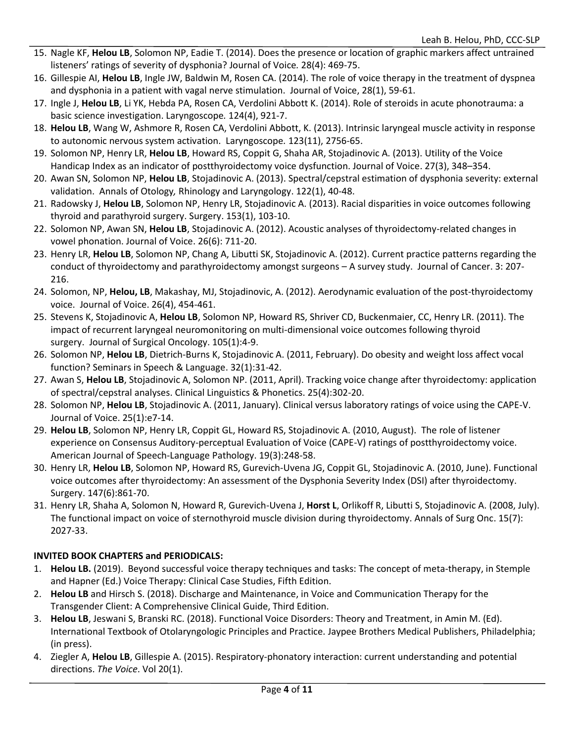- 15. Nagle KF, **Helou LB**, Solomon NP, Eadie T. (2014). Does the presence or location of graphic markers affect untrained listeners' ratings of severity of dysphonia? Journal of Voice*.* 28(4): 469-75.
- 16. Gillespie AI, **Helou LB**, Ingle JW, Baldwin M, Rosen CA. (2014). The role of voice therapy in the treatment of dyspnea and dysphonia in a patient with vagal nerve stimulation. Journal of Voice, 28(1), 59-61.
- 17. Ingle J, **Helou LB**, Li YK, Hebda PA, Rosen CA, Verdolini Abbott K. (2014). Role of steroids in acute phonotrauma: a basic science investigation. Laryngoscope*.* 124(4), 921-7.
- 18. **Helou LB**, Wang W, Ashmore R, Rosen CA, Verdolini Abbott, K. (2013). Intrinsic laryngeal muscle activity in response to autonomic nervous system activation. Laryngoscope*.* 123(11), 2756-65.
- 19. Solomon NP, Henry LR, **Helou LB**, Howard RS, Coppit G, Shaha AR, Stojadinovic A. (2013). Utility of the Voice Handicap Index as an indicator of postthyroidectomy voice dysfunction. Journal of Voice. 27(3), 348–354.
- 20. Awan SN, Solomon NP, **Helou LB**, Stojadinovic A. (2013). Spectral/cepstral estimation of dysphonia severity: external validation. Annals of Otology*,* Rhinology and Laryngology. 122(1), 40-48.
- 21. Radowsky J, **Helou LB**, Solomon NP, Henry LR, Stojadinovic A. (2013). Racial disparities in voice outcomes following thyroid and parathyroid surgery. Surgery. 153(1), 103-10.
- 22. Solomon NP, Awan SN, **Helou LB**, Stojadinovic A. (2012). Acoustic analyses of thyroidectomy-related changes in vowel phonation. Journal of Voice. 26(6): 711-20.
- 23. Henry LR, **Helou LB**, Solomon NP, Chang A, Libutti SK, Stojadinovic A. (2012). Current practice patterns regarding the conduct of thyroidectomy and parathyroidectomy amongst surgeons – A survey study. Journal of Cancer. 3: 207- 216.
- 24. Solomon, NP, **Helou, LB**, Makashay, MJ, Stojadinovic, A. (2012). Aerodynamic evaluation of the post-thyroidectomy voice. Journal of Voice. 26(4), 454-461.
- 25. Stevens K, Stojadinovic A, **Helou LB**, Solomon NP, Howard RS, Shriver CD, Buckenmaier, CC, Henry LR. (2011). The impact of recurrent laryngeal neuromonitoring on multi-dimensional voice outcomes following thyroid surgery. Journal of Surgical Oncology. 105(1):4-9.
- 26. Solomon NP, **Helou LB**, Dietrich-Burns K, Stojadinovic A. (2011, February). Do obesity and weight loss affect vocal function? Seminars in Speech & Language. 32(1):31-42.
- 27. Awan S, **Helou LB**, Stojadinovic A, Solomon NP. (2011, April). Tracking voice change after thyroidectomy: application of spectral/cepstral analyses. Clinical Linguistics & Phonetics. 25(4):302-20.
- 28. Solomon NP, **Helou LB**, Stojadinovic A. (2011, January). Clinical versus laboratory ratings of voice using the CAPE-V. Journal of Voice. 25(1):e7-14.
- 29. **Helou LB**, Solomon NP, Henry LR, Coppit GL, Howard RS, Stojadinovic A. (2010, August). The role of listener experience on Consensus Auditory-perceptual Evaluation of Voice (CAPE-V) ratings of postthyroidectomy voice. American Journal of Speech-Language Pathology. 19(3):248-58.
- 30. Henry LR, **Helou LB**, Solomon NP, Howard RS, Gurevich-Uvena JG, Coppit GL, Stojadinovic A. (2010, June). Functional voice outcomes after thyroidectomy: An assessment of the Dysphonia Severity Index (DSI) after thyroidectomy. Surgery. 147(6):861-70.
- 31. Henry LR, Shaha A, Solomon N, Howard R, Gurevich-Uvena J, **Horst L**, Orlikoff R, Libutti S, Stojadinovic A. (2008, July). The functional impact on voice of sternothyroid muscle division during thyroidectomy. Annals of Surg Onc. 15(7): 2027-33.

# **INVITED BOOK CHAPTERS and PERIODICALS:**

- 1. **Helou LB.** (2019). Beyond successful voice therapy techniques and tasks: The concept of meta-therapy, in Stemple and Hapner (Ed.) Voice Therapy: Clinical Case Studies, Fifth Edition.
- 2. **Helou LB** and Hirsch S. (2018). Discharge and Maintenance, in Voice and Communication Therapy for the Transgender Client: A Comprehensive Clinical Guide, Third Edition.
- 3. **Helou LB**, Jeswani S, Branski RC. (2018). Functional Voice Disorders: Theory and Treatment, in Amin M. (Ed). International Textbook of Otolaryngologic Principles and Practice. Jaypee Brothers Medical Publishers, Philadelphia; (in press).
- 4. Ziegler A, **Helou LB**, Gillespie A. (2015). Respiratory-phonatory interaction: current understanding and potential directions. *The Voice*. Vol 20(1).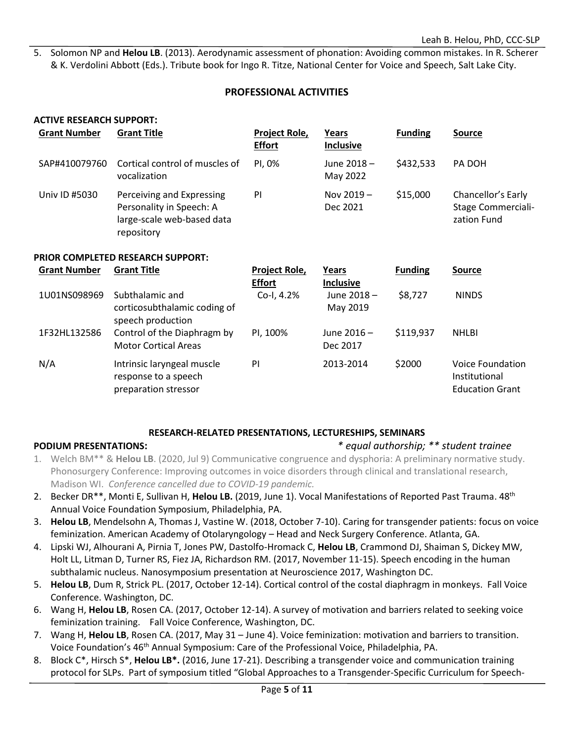5. Solomon NP and **Helou LB**. (2013). Aerodynamic assessment of phonation: Avoiding common mistakes. In R. Scherer & K. Verdolini Abbott (Eds.). Tribute book for Ingo R. Titze, National Center for Voice and Speech, Salt Lake City.

### **PROFESSIONAL ACTIVITIES**

# **ACTIVE RESEARCH SUPPORT:**

| <b>Grant Number</b> | <b>Grant Title</b>                                                                                | <b>Project Role,</b><br><b>Effort</b> | Years<br><b>Inclusive</b> | <b>Funding</b> | <b>Source</b>                                                  |
|---------------------|---------------------------------------------------------------------------------------------------|---------------------------------------|---------------------------|----------------|----------------------------------------------------------------|
| SAP#410079760       | Cortical control of muscles of<br>vocalization                                                    | PI, 0%                                | June 2018 -<br>May 2022   | \$432,533      | PA DOH                                                         |
| Univ ID #5030       | Perceiving and Expressing<br>Personality in Speech: A<br>large-scale web-based data<br>repository | PI                                    | Nov $2019 -$<br>Dec 2021  | \$15,000       | Chancellor's Early<br><b>Stage Commerciali-</b><br>zation Fund |

#### **PRIOR COMPLETED RESEARCH SUPPORT:**

| <b>Grant Number</b> | <b>Grant Title</b>                                                              | <b>Project Role,</b>        | Years                               | <b>Funding</b> | <b>Source</b>                                               |
|---------------------|---------------------------------------------------------------------------------|-----------------------------|-------------------------------------|----------------|-------------------------------------------------------------|
| 1U01NS098969        | Subthalamic and<br>corticosubthalamic coding of                                 | <b>Effort</b><br>Co-I, 4.2% | Inclusive<br>June 2018-<br>May 2019 | \$8,727        | <b>NINDS</b>                                                |
| 1F32HL132586        | speech production<br>Control of the Diaphragm by<br><b>Motor Cortical Areas</b> | PI, 100%                    | June 2016-<br>Dec 2017              | \$119,937      | <b>NHLBI</b>                                                |
| N/A                 | Intrinsic laryngeal muscle<br>response to a speech<br>preparation stressor      | PI                          | 2013-2014                           | \$2000         | Voice Foundation<br>Institutional<br><b>Education Grant</b> |

#### **RESEARCH-RELATED PRESENTATIONS, LECTURESHIPS, SEMINARS**

### **PODIUM PRESENTATIONS:** *\* equal authorship; \*\* student trainee*

- 1. Welch BM\*\* & **Helou LB**. (2020, Jul 9) Communicative congruence and dysphoria: A preliminary normative study. Phonosurgery Conference: Improving outcomes in voice disorders through clinical and translational research, Madison WI. *Conference cancelled due to COVID-19 pandemic.*
- 2. Becker DR\*\*, Monti E, Sullivan H, **Helou LB.** (2019, June 1). Vocal Manifestations of Reported Past Trauma. 48th Annual Voice Foundation Symposium, Philadelphia, PA.
- 3. **Helou LB**, Mendelsohn A, Thomas J, Vastine W. (2018, October 7-10). Caring for transgender patients: focus on voice feminization. American Academy of Otolaryngology – Head and Neck Surgery Conference. Atlanta, GA.
- 4. Lipski WJ, Alhourani A, Pirnia T, Jones PW, Dastolfo-Hromack C, **Helou LB**, Crammond DJ, Shaiman S, Dickey MW, Holt LL, Litman D, Turner RS, Fiez JA, Richardson RM. (2017, November 11-15). Speech encoding in the human subthalamic nucleus. Nanosymposium presentation at Neuroscience 2017, Washington DC.
- 5. **Helou LB**, Dum R, Strick PL. (2017, October 12-14). Cortical control of the costal diaphragm in monkeys. Fall Voice Conference. Washington, DC.
- 6. Wang H, **Helou LB**, Rosen CA. (2017, October 12-14). A survey of motivation and barriers related to seeking voice feminization training. Fall Voice Conference, Washington, DC.
- 7. Wang H, **Helou LB**, Rosen CA. (2017, May 31 June 4). Voice feminization: motivation and barriers to transition. Voice Foundation's 46th Annual Symposium: Care of the Professional Voice, Philadelphia, PA.
- 8. Block C\*, Hirsch S\*, **Helou LB\*.** (2016, June 17-21). Describing a transgender voice and communication training protocol for SLPs. Part of symposium titled "Global Approaches to a Transgender-Specific Curriculum for Speech-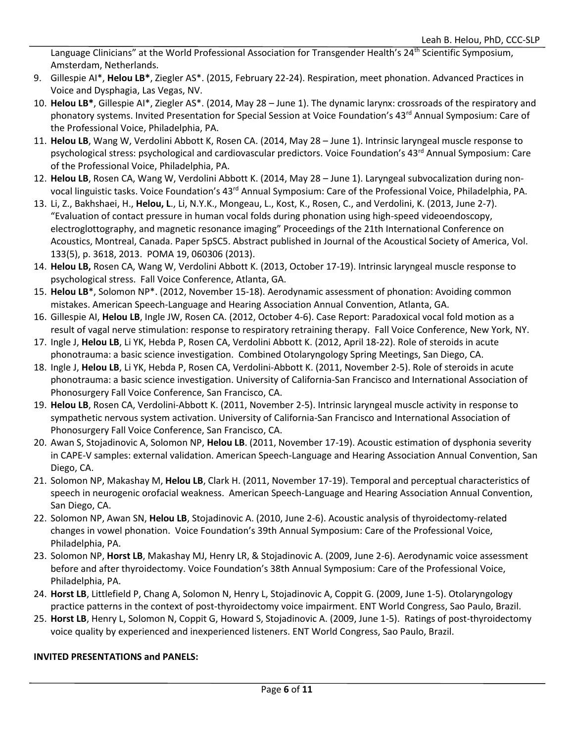Language Clinicians" at the World Professional Association for Transgender Health's 24<sup>th</sup> Scientific Symposium, Amsterdam, Netherlands.

- 9. Gillespie AI\*, **Helou LB\***, Ziegler AS\*. (2015, February 22-24). Respiration, meet phonation. Advanced Practices in Voice and Dysphagia, Las Vegas, NV.
- 10. **Helou LB\***, Gillespie AI\*, Ziegler AS\*. (2014, May 28 June 1). The dynamic larynx: crossroads of the respiratory and phonatory systems. Invited Presentation for Special Session at Voice Foundation's 43<sup>rd</sup> Annual Symposium: Care of the Professional Voice, Philadelphia, PA.
- 11. **Helou LB**, Wang W, Verdolini Abbott K, Rosen CA. (2014, May 28 June 1). Intrinsic laryngeal muscle response to psychological stress: psychological and cardiovascular predictors. Voice Foundation's 43<sup>rd</sup> Annual Symposium: Care of the Professional Voice, Philadelphia, PA.
- 12. **Helou LB**, Rosen CA, Wang W, Verdolini Abbott K. (2014, May 28 June 1). Laryngeal subvocalization during nonvocal linguistic tasks. Voice Foundation's 43<sup>rd</sup> Annual Symposium: Care of the Professional Voice, Philadelphia, PA.
- 13. Li, Z., Bakhshaei, H., **Helou, L**., Li, N.Y.K., Mongeau, L., Kost, K., Rosen, C., and Verdolini, K. (2013, June 2-7). "Evaluation of contact pressure in human vocal folds during phonation using high-speed videoendoscopy, electroglottography, and magnetic resonance imaging" Proceedings of the 21th International Conference on Acoustics, Montreal, Canada. Paper 5pSC5. Abstract published in Journal of the Acoustical Society of America, Vol. 133(5), p. 3618, 2013. POMA 19, 060306 (2013).
- 14. **Helou LB,** Rosen CA, Wang W, Verdolini Abbott K. (2013, October 17-19). Intrinsic laryngeal muscle response to psychological stress. Fall Voice Conference, Atlanta, GA.
- 15. **Helou LB**\*, Solomon NP\*. (2012, November 15-18). Aerodynamic assessment of phonation: Avoiding common mistakes. American Speech-Language and Hearing Association Annual Convention, Atlanta, GA.
- 16. Gillespie AI, **Helou LB**, Ingle JW, Rosen CA. (2012, October 4-6). Case Report: Paradoxical vocal fold motion as a result of vagal nerve stimulation: response to respiratory retraining therapy. Fall Voice Conference, New York, NY.
- 17. Ingle J, **Helou LB**, Li YK, Hebda P, Rosen CA, Verdolini Abbott K. (2012, April 18-22). Role of steroids in acute phonotrauma: a basic science investigation. Combined Otolaryngology Spring Meetings, San Diego, CA.
- 18. Ingle J, **Helou LB**, Li YK, Hebda P, Rosen CA, Verdolini-Abbott K. (2011, November 2-5). Role of steroids in acute phonotrauma: a basic science investigation. University of California-San Francisco and International Association of Phonosurgery Fall Voice Conference, San Francisco, CA.
- 19. **Helou LB**, Rosen CA, Verdolini-Abbott K. (2011, November 2-5). Intrinsic laryngeal muscle activity in response to sympathetic nervous system activation. University of California-San Francisco and International Association of Phonosurgery Fall Voice Conference, San Francisco, CA.
- 20. Awan S, Stojadinovic A, Solomon NP, **Helou LB**. (2011, November 17-19). Acoustic estimation of dysphonia severity in CAPE-V samples: external validation. American Speech-Language and Hearing Association Annual Convention, San Diego, CA.
- 21. Solomon NP, Makashay M, **Helou LB**, Clark H. (2011, November 17-19). Temporal and perceptual characteristics of speech in neurogenic orofacial weakness. American Speech-Language and Hearing Association Annual Convention, San Diego, CA.
- 22. Solomon NP, Awan SN, **Helou LB**, Stojadinovic A. (2010, June 2-6). Acoustic analysis of thyroidectomy-related changes in vowel phonation. Voice Foundation's 39th Annual Symposium: Care of the Professional Voice, Philadelphia, PA.
- 23. Solomon NP, **Horst LB**, Makashay MJ, Henry LR, & Stojadinovic A. (2009, June 2-6). Aerodynamic voice assessment before and after thyroidectomy. Voice Foundation's 38th Annual Symposium: Care of the Professional Voice, Philadelphia, PA.
- 24. **Horst LB**, Littlefield P, Chang A, Solomon N, Henry L, Stojadinovic A, Coppit G. (2009, June 1-5). Otolaryngology practice patterns in the context of post-thyroidectomy voice impairment. ENT World Congress, Sao Paulo, Brazil.
- 25. **Horst LB**, Henry L, Solomon N, Coppit G, Howard S, Stojadinovic A. (2009, June 1-5). Ratings of post-thyroidectomy voice quality by experienced and inexperienced listeners. ENT World Congress, Sao Paulo, Brazil.

# **INVITED PRESENTATIONS and PANELS:**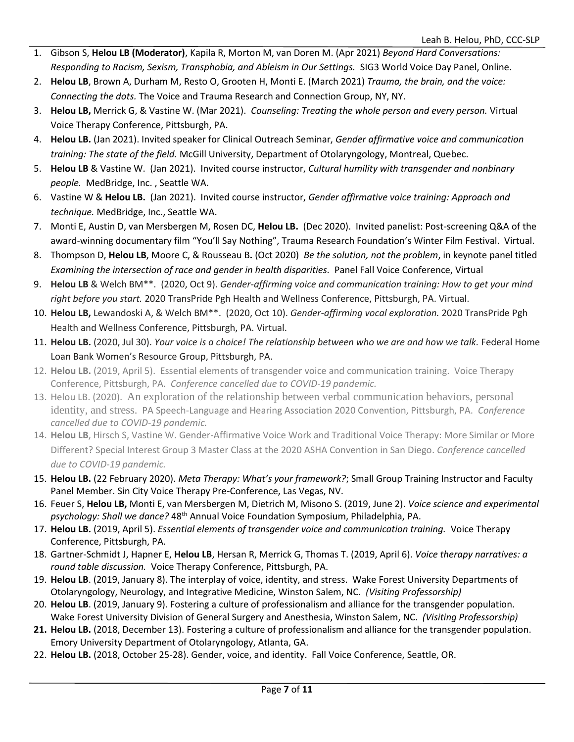- 1. Gibson S, **Helou LB (Moderator)**, Kapila R, Morton M, van Doren M. (Apr 2021) *Beyond Hard Conversations: Responding to Racism, Sexism, Transphobia, and Ableism in Our Settings.* SIG3 World Voice Day Panel, Online.
- 2. **Helou LB**, Brown A, Durham M, Resto O, Grooten H, Monti E. (March 2021) *Trauma, the brain, and the voice: Connecting the dots.* The Voice and Trauma Research and Connection Group, NY, NY.
- 3. **Helou LB,** Merrick G, & Vastine W. (Mar 2021). *Counseling: Treating the whole person and every person.* Virtual Voice Therapy Conference, Pittsburgh, PA.
- 4. **Helou LB.** (Jan 2021). Invited speaker for Clinical Outreach Seminar, *Gender affirmative voice and communication training: The state of the field.* McGill University, Department of Otolaryngology, Montreal, Quebec.
- 5. **Helou LB** & Vastine W. (Jan 2021). Invited course instructor, *Cultural humility with transgender and nonbinary people.* MedBridge, Inc. , Seattle WA.
- 6. Vastine W & **Helou LB.** (Jan 2021). Invited course instructor, *Gender affirmative voice training: Approach and technique.* MedBridge, Inc., Seattle WA.
- 7. Monti E, Austin D, van Mersbergen M, Rosen DC, **Helou LB.** (Dec 2020). Invited panelist: Post-screening Q&A of the award-winning documentary film "You'll Say Nothing", Trauma Research Foundation's Winter Film Festival. Virtual.
- 8. Thompson D, **Helou LB**, Moore C, & Rousseau B**.** (Oct 2020) *Be the solution, not the problem*, in keynote panel titled *Examining the intersection of race and gender in health disparities.* Panel Fall Voice Conference, Virtual
- 9. **Helou LB** & Welch BM\*\*. (2020, Oct 9). *Gender-affirming voice and communication training: How to get your mind right before you start.* 2020 TransPride Pgh Health and Wellness Conference, Pittsburgh, PA. Virtual.
- 10. **Helou LB,** Lewandoski A, & Welch BM\*\*. (2020, Oct 10). *Gender-affirming vocal exploration.* 2020 TransPride Pgh Health and Wellness Conference, Pittsburgh, PA. Virtual.
- 11. **Helou LB.** (2020, Jul 30). *Your voice is a choice! The relationship between who we are and how we talk.* Federal Home Loan Bank Women's Resource Group, Pittsburgh, PA.
- 12. **Helou LB.** (2019, April 5). Essential elements of transgender voice and communication training. Voice Therapy Conference, Pittsburgh, PA. *Conference cancelled due to COVID-19 pandemic.*
- 13. Helou LB. (2020). An exploration of the relationship between verbal communication behaviors, personal identity, and stress. PA Speech-Language and Hearing Association 2020 Convention, Pittsburgh, PA. *Conference cancelled due to COVID-19 pandemic.*
- 14. **Helou LB**, Hirsch S, Vastine W. Gender-Affirmative Voice Work and Traditional Voice Therapy: More Similar or More Different? Special Interest Group 3 Master Class at the 2020 ASHA Convention in San Diego. *Conference cancelled due to COVID-19 pandemic.*
- 15. **Helou LB.** (22 February 2020). *Meta Therapy: What's your framework?*; Small Group Training Instructor and Faculty Panel Member. Sin City Voice Therapy Pre-Conference, Las Vegas, NV.
- 16. Feuer S, **Helou LB,** Monti E, van Mersbergen M, Dietrich M, Misono S. (2019, June 2). *Voice science and experimental psychology: Shall we dance?* 48th Annual Voice Foundation Symposium, Philadelphia, PA.
- 17. **Helou LB.** (2019, April 5). *Essential elements of transgender voice and communication training.* Voice Therapy Conference, Pittsburgh, PA.
- 18. Gartner-Schmidt J, Hapner E, **Helou LB**, Hersan R, Merrick G, Thomas T. (2019, April 6). *Voice therapy narratives: a round table discussion.* Voice Therapy Conference, Pittsburgh, PA.
- 19. **Helou LB**. (2019, January 8). The interplay of voice, identity, and stress. Wake Forest University Departments of Otolaryngology, Neurology, and Integrative Medicine, Winston Salem, NC. *(Visiting Professorship)*
- 20. **Helou LB**. (2019, January 9). Fostering a culture of professionalism and alliance for the transgender population. Wake Forest University Division of General Surgery and Anesthesia, Winston Salem, NC. *(Visiting Professorship)*
- **21. Helou LB.** (2018, December 13). Fostering a culture of professionalism and alliance for the transgender population. Emory University Department of Otolaryngology, Atlanta, GA.
- 22. **Helou LB.** (2018, October 25-28). Gender, voice, and identity. Fall Voice Conference, Seattle, OR.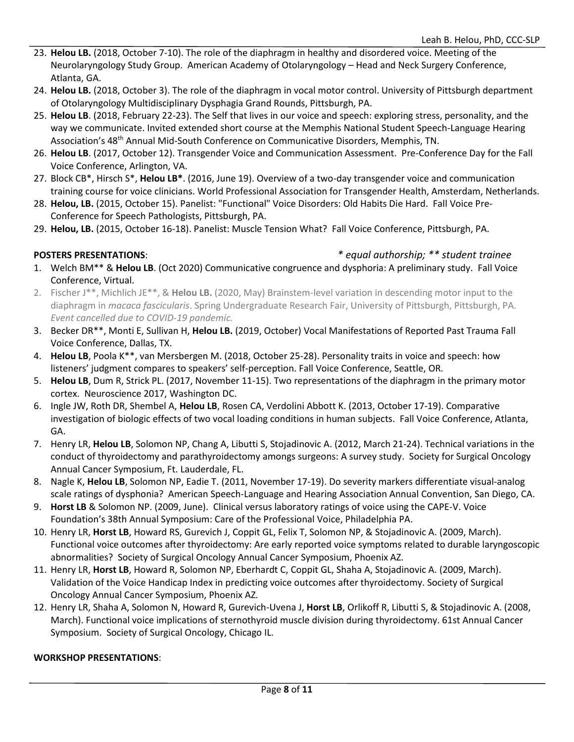- 23. **Helou LB.** (2018, October 7-10). The role of the diaphragm in healthy and disordered voice. Meeting of the Neurolaryngology Study Group. American Academy of Otolaryngology – Head and Neck Surgery Conference, Atlanta, GA.
- 24. **Helou LB.** (2018, October 3). The role of the diaphragm in vocal motor control. University of Pittsburgh department of Otolaryngology Multidisciplinary Dysphagia Grand Rounds, Pittsburgh, PA.
- 25. **Helou LB**. (2018, February 22-23). The Self that lives in our voice and speech: exploring stress, personality, and the way we communicate. Invited extended short course at the Memphis National Student Speech-Language Hearing Association's 48th Annual Mid-South Conference on Communicative Disorders, Memphis, TN.
- 26. **Helou LB**. (2017, October 12). Transgender Voice and Communication Assessment. Pre-Conference Day for the Fall Voice Conference, Arlington, VA.
- 27. Block CB\*, Hirsch S\*, **Helou LB\***. (2016, June 19). Overview of a two-day transgender voice and communication training course for voice clinicians. World Professional Association for Transgender Health, Amsterdam, Netherlands.
- 28. **Helou, LB.** (2015, October 15). Panelist: "Functional" Voice Disorders: Old Habits Die Hard. Fall Voice Pre-Conference for Speech Pathologists, Pittsburgh, PA.
- 29. **Helou, LB.** (2015, October 16-18). Panelist: Muscle Tension What? Fall Voice Conference, Pittsburgh, PA.

# **POSTERS PRESENTATIONS**: *\* equal authorship; \*\* student trainee*

- 1. Welch BM\*\* & **Helou LB**. (Oct 2020) Communicative congruence and dysphoria: A preliminary study. Fall Voice Conference, Virtual.
- 2. Fischer J\*\*, Michlich JE\*\*, & **Helou LB.** (2020, May) Brainstem-level variation in descending motor input to the diaphragm in *macaca fascicularis*. Spring Undergraduate Research Fair, University of Pittsburgh, Pittsburgh, PA. *Event cancelled due to COVID-19 pandemic.*
- 3. Becker DR\*\*, Monti E, Sullivan H, **Helou LB.** (2019, October) Vocal Manifestations of Reported Past Trauma Fall Voice Conference, Dallas, TX.
- 4. **Helou LB**, Poola K\*\*, van Mersbergen M. (2018, October 25-28). Personality traits in voice and speech: how listeners' judgment compares to speakers' self-perception. Fall Voice Conference, Seattle, OR.
- 5. **Helou LB**, Dum R, Strick PL. (2017, November 11-15). Two representations of the diaphragm in the primary motor cortex. Neuroscience 2017, Washington DC.
- 6. Ingle JW, Roth DR, Shembel A, **Helou LB**, Rosen CA, Verdolini Abbott K. (2013, October 17-19). Comparative investigation of biologic effects of two vocal loading conditions in human subjects. Fall Voice Conference, Atlanta, GA.
- 7. Henry LR, **Helou LB**, Solomon NP, Chang A, Libutti S, Stojadinovic A. (2012, March 21-24). Technical variations in the conduct of thyroidectomy and parathyroidectomy amongs surgeons: A survey study. Society for Surgical Oncology Annual Cancer Symposium, Ft. Lauderdale, FL.
- 8. Nagle K, **Helou LB**, Solomon NP, Eadie T. (2011, November 17-19). Do severity markers differentiate visual-analog scale ratings of dysphonia? American Speech-Language and Hearing Association Annual Convention, San Diego, CA.
- 9. **Horst LB** & Solomon NP. (2009, June). Clinical versus laboratory ratings of voice using the CAPE-V. Voice Foundation's 38th Annual Symposium: Care of the Professional Voice, Philadelphia PA.
- 10. Henry LR, **Horst LB**, Howard RS, Gurevich J, Coppit GL, Felix T, Solomon NP, & Stojadinovic A. (2009, March). Functional voice outcomes after thyroidectomy: Are early reported voice symptoms related to durable laryngoscopic abnormalities? Society of Surgical Oncology Annual Cancer Symposium, Phoenix AZ.
- 11. Henry LR, **Horst LB**, Howard R, Solomon NP, Eberhardt C, Coppit GL, Shaha A, Stojadinovic A. (2009, March). Validation of the Voice Handicap Index in predicting voice outcomes after thyroidectomy. Society of Surgical Oncology Annual Cancer Symposium, Phoenix AZ.
- 12. Henry LR, Shaha A, Solomon N, Howard R, Gurevich-Uvena J, **Horst LB**, Orlikoff R, Libutti S, & Stojadinovic A. (2008, March). Functional voice implications of sternothyroid muscle division during thyroidectomy. 61st Annual Cancer Symposium. Society of Surgical Oncology, Chicago IL.

### **WORKSHOP PRESENTATIONS**: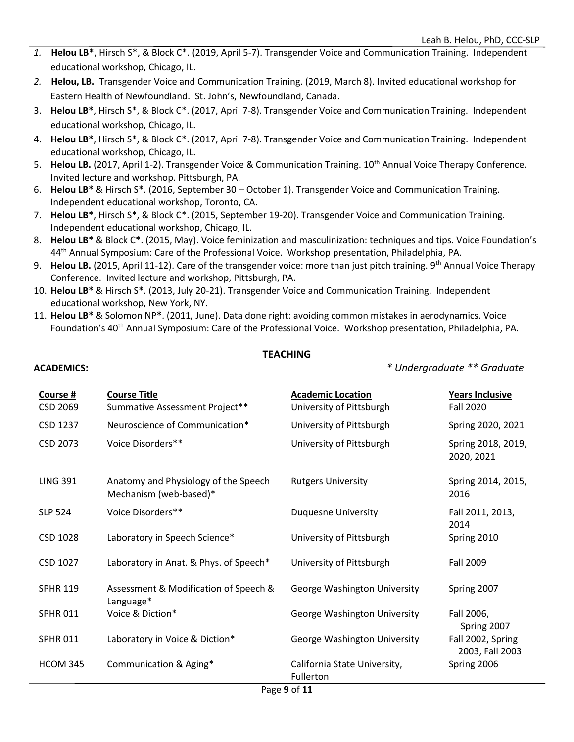- *1.* **Helou LB\***, Hirsch S\*, & Block C\*. (2019, April 5-7). Transgender Voice and Communication Training. Independent educational workshop, Chicago, IL.
- *2.* **Helou, LB.** Transgender Voice and Communication Training. (2019, March 8). Invited educational workshop for Eastern Health of Newfoundland. St. John's, Newfoundland, Canada.
- 3. **Helou LB\***, Hirsch S\*, & Block C\*. (2017, April 7-8). Transgender Voice and Communication Training. Independent educational workshop, Chicago, IL.
- 4. **Helou LB\***, Hirsch S\*, & Block C\*. (2017, April 7-8). Transgender Voice and Communication Training. Independent educational workshop, Chicago, IL.
- 5. Helou LB. (2017, April 1-2). Transgender Voice & Communication Training. 10<sup>th</sup> Annual Voice Therapy Conference. Invited lecture and workshop. Pittsburgh, PA.
- 6. **Helou LB\*** & Hirsch S**\***. (2016, September 30 October 1). Transgender Voice and Communication Training. Independent educational workshop, Toronto, CA.
- 7. **Helou LB\***, Hirsch S\*, & Block C\*. (2015, September 19-20). Transgender Voice and Communication Training. Independent educational workshop, Chicago, IL.
- 8. **Helou LB\*** & Block C**\***. (2015, May). Voice feminization and masculinization: techniques and tips. Voice Foundation's 44th Annual Symposium: Care of the Professional Voice. Workshop presentation, Philadelphia, PA.
- 9. **Helou LB.** (2015, April 11-12). Care of the transgender voice: more than just pitch training. 9th Annual Voice Therapy Conference. Invited lecture and workshop, Pittsburgh, PA.
- 10. **Helou LB\*** & Hirsch S**\***. (2013, July 20-21). Transgender Voice and Communication Training. Independent educational workshop, New York, NY.
- 11. **Helou LB\*** & Solomon NP**\***. (2011, June). Data done right: avoiding common mistakes in aerodynamics. Voice Foundation's 40<sup>th</sup> Annual Symposium: Care of the Professional Voice. Workshop presentation, Philadelphia, PA.

### **TEACHING**

**ACADEMICS:** *\* Undergraduate \*\* Graduate*

| Course #<br>CSD 2069 | <b>Course Title</b><br>Summative Assessment Project**          | <b>Academic Location</b><br>University of Pittsburgh | <b>Years Inclusive</b><br><b>Fall 2020</b> |
|----------------------|----------------------------------------------------------------|------------------------------------------------------|--------------------------------------------|
| CSD 1237             | Neuroscience of Communication*                                 | University of Pittsburgh                             | Spring 2020, 2021                          |
| CSD 2073             | Voice Disorders**                                              | University of Pittsburgh                             | Spring 2018, 2019,<br>2020, 2021           |
| <b>LING 391</b>      | Anatomy and Physiology of the Speech<br>Mechanism (web-based)* | <b>Rutgers University</b>                            | Spring 2014, 2015,<br>2016                 |
| <b>SLP 524</b>       | Voice Disorders**                                              | <b>Duquesne University</b>                           | Fall 2011, 2013,<br>2014                   |
| CSD 1028             | Laboratory in Speech Science*                                  | University of Pittsburgh                             | Spring 2010                                |
| CSD 1027             | Laboratory in Anat. & Phys. of Speech*                         | University of Pittsburgh                             | Fall 2009                                  |
| <b>SPHR 119</b>      | Assessment & Modification of Speech &<br>Language*             | George Washington University                         | Spring 2007                                |
| <b>SPHR 011</b>      | Voice & Diction*                                               | George Washington University                         | Fall 2006,<br>Spring 2007                  |
| <b>SPHR 011</b>      | Laboratory in Voice & Diction*                                 | George Washington University                         | Fall 2002, Spring<br>2003, Fall 2003       |
| <b>HCOM 345</b>      | Communication & Aging*                                         | California State University,<br>Fullerton            | Spring 2006                                |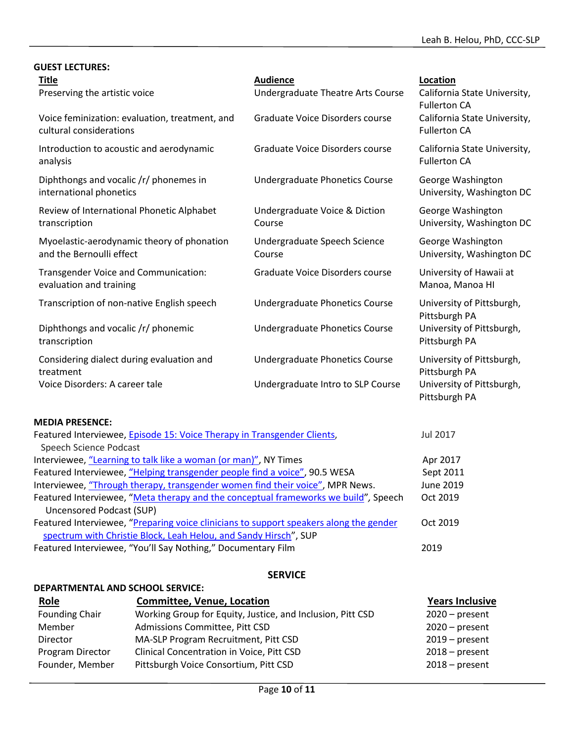| <b>GUEST LECTURES:</b>                                                    |                                                      |                                                                            |
|---------------------------------------------------------------------------|------------------------------------------------------|----------------------------------------------------------------------------|
| <b>Title</b><br>Preserving the artistic voice                             | <b>Audience</b><br>Undergraduate Theatre Arts Course | Location<br>California State University,                                   |
| Voice feminization: evaluation, treatment, and<br>cultural considerations | Graduate Voice Disorders course                      | <b>Fullerton CA</b><br>California State University,<br><b>Fullerton CA</b> |
| Introduction to acoustic and aerodynamic<br>analysis                      | Graduate Voice Disorders course                      | California State University,<br><b>Fullerton CA</b>                        |
| Diphthongs and vocalic /r/ phonemes in<br>international phonetics         | Undergraduate Phonetics Course                       | George Washington<br>University, Washington DC                             |
| Review of International Phonetic Alphabet<br>transcription                | Undergraduate Voice & Diction<br>Course              | George Washington<br>University, Washington DC                             |
| Myoelastic-aerodynamic theory of phonation<br>and the Bernoulli effect    | Undergraduate Speech Science<br>Course               | George Washington<br>University, Washington DC                             |
| Transgender Voice and Communication:<br>evaluation and training           | Graduate Voice Disorders course                      | University of Hawaii at<br>Manoa, Manoa HI                                 |
| Transcription of non-native English speech                                | Undergraduate Phonetics Course                       | University of Pittsburgh,<br>Pittsburgh PA                                 |
| Diphthongs and vocalic /r/ phonemic<br>transcription                      | Undergraduate Phonetics Course                       | University of Pittsburgh,<br>Pittsburgh PA                                 |
| Considering dialect during evaluation and<br>treatment                    | Undergraduate Phonetics Course                       | University of Pittsburgh,<br>Pittsburgh PA                                 |
| Voice Disorders: A career tale                                            | Undergraduate Intro to SLP Course                    | University of Pittsburgh,<br>Pittsburgh PA                                 |

#### **MEDIA PRESENCE:**

| Featured Interviewee, Episode 15: Voice Therapy in Transgender Clients,                | Jul 2017  |
|----------------------------------------------------------------------------------------|-----------|
| Speech Science Podcast                                                                 |           |
| Interviewee, "Learning to talk like a woman (or man)", NY Times                        | Apr 2017  |
| Featured Interviewee, "Helping transgender people find a voice", 90.5 WESA             | Sept 2011 |
| Interviewee, "Through therapy, transgender women find their voice", MPR News.          | June 2019 |
| Featured Interviewee, "Meta therapy and the conceptual frameworks we build", Speech    | Oct 2019  |
| Uncensored Podcast (SUP)                                                               |           |
| Featured Interviewee, "Preparing voice clinicians to support speakers along the gender | Oct 2019  |
| spectrum with Christie Block, Leah Helou, and Sandy Hirsch", SUP                       |           |
| Featured Interviewee, "You'll Say Nothing," Documentary Film                           | 2019      |

# **SERVICE**

# **DEPARTMENTAL AND SCHOOL SERVICE:**

| <b>Role</b>           | <b>Committee, Venue, Location</b>                          | <b>Years Inclusive</b> |
|-----------------------|------------------------------------------------------------|------------------------|
| <b>Founding Chair</b> | Working Group for Equity, Justice, and Inclusion, Pitt CSD | $2020$ – present       |
| Member                | Admissions Committee, Pitt CSD                             | $2020$ – present       |
| Director              | MA-SLP Program Recruitment, Pitt CSD                       | $2019$ – present       |
| Program Director      | Clinical Concentration in Voice, Pitt CSD                  | $2018 - present$       |
| Founder, Member       | Pittsburgh Voice Consortium, Pitt CSD                      | $2018 - present$       |